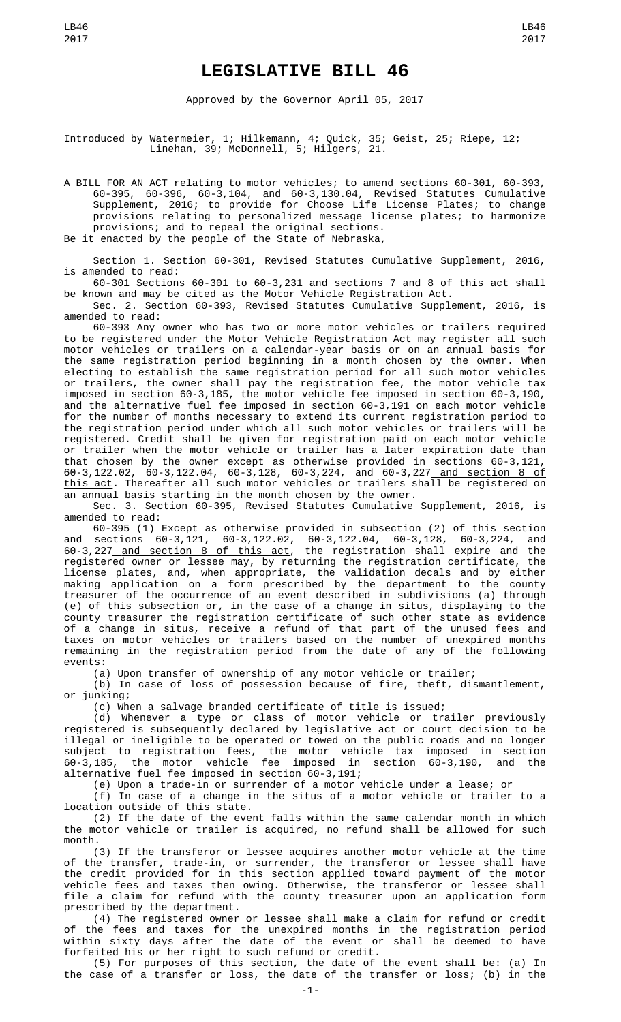Approved by the Governor April 05, 2017

Introduced by Watermeier, 1; Hilkemann, 4; Quick, 35; Geist, 25; Riepe, 12; Linehan, 39; McDonnell, 5; Hilgers, 21.

A BILL FOR AN ACT relating to motor vehicles; to amend sections 60-301, 60-393, 60-395, 60-396, 60-3,104, and 60-3,130.04, Revised Statutes Cumulative Supplement, 2016; to provide for Choose Life License Plates; to change provisions relating to personalized message license plates; to harmonize provisions; and to repeal the original sections. Be it enacted by the people of the State of Nebraska,

Section 1. Section 60-301, Revised Statutes Cumulative Supplement, 2016, is amended to read:

60-301 Sections 60-301 to 60-3,231 and sections 7 and 8 of this act shall be known and may be cited as the Motor Vehicle Registration Act.

Sec. 2. Section 60-393, Revised Statutes Cumulative Supplement, 2016, is amended to read:

60-393 Any owner who has two or more motor vehicles or trailers required to be registered under the Motor Vehicle Registration Act may register all such motor vehicles or trailers on a calendar-year basis or on an annual basis for the same registration period beginning in a month chosen by the owner. When electing to establish the same registration period for all such motor vehicles or trailers, the owner shall pay the registration fee, the motor vehicle tax imposed in section 60-3,185, the motor vehicle fee imposed in section 60-3,190, and the alternative fuel fee imposed in section 60-3,191 on each motor vehicle for the number of months necessary to extend its current registration period to the registration period under which all such motor vehicles or trailers will be registered. Credit shall be given for registration paid on each motor vehicle or trailer when the motor vehicle or trailer has a later expiration date than that chosen by the owner except as otherwise provided in sections 60-3,121, 60-3,122.02, 60-3,122.04, 60-3,128, 60-3,224, and 60-3,227 and section 8 of <u>this act</u>. Thereafter all such motor vehicles or trailers shall be registered on an annual basis starting in the month chosen by the owner.

Sec. 3. Section 60-395, Revised Statutes Cumulative Supplement, 2016, is amended to read:

60-395 (1) Except as otherwise provided in subsection (2) of this section and sections 60-3,121, 60-3,122.02, 60-3,122.04, 60-3,128, 60-3,224, and 60-3,227 and section 8 of this act, the registration shall expire and the registered owner or lessee may, by returning the registration certificate, the license plates, and, when appropriate, the validation decals and by either making application on a form prescribed by the department to the county treasurer of the occurrence of an event described in subdivisions (a) through (e) of this subsection or, in the case of a change in situs, displaying to the county treasurer the registration certificate of such other state as evidence of a change in situs, receive a refund of that part of the unused fees and taxes on motor vehicles or trailers based on the number of unexpired months remaining in the registration period from the date of any of the following events:

(a) Upon transfer of ownership of any motor vehicle or trailer;

(b) In case of loss of possession because of fire, theft, dismantlement, or junking;

(c) When a salvage branded certificate of title is issued;

(d) Whenever a type or class of motor vehicle or trailer previously registered is subsequently declared by legislative act or court decision to be illegal or ineligible to be operated or towed on the public roads and no longer subject to registration fees, the motor vehicle tax imposed in section 60-3,185, the motor vehicle fee imposed in section 60-3,190, and the alternative fuel fee imposed in section 60-3,191;

(e) Upon a trade-in or surrender of a motor vehicle under a lease; or

(f) In case of a change in the situs of a motor vehicle or trailer to a location outside of this state.

(2) If the date of the event falls within the same calendar month in which the motor vehicle or trailer is acquired, no refund shall be allowed for such month.

(3) If the transferor or lessee acquires another motor vehicle at the time of the transfer, trade-in, or surrender, the transferor or lessee shall have the credit provided for in this section applied toward payment of the motor vehicle fees and taxes then owing. Otherwise, the transferor or lessee shall file a claim for refund with the county treasurer upon an application form prescribed by the department.

(4) The registered owner or lessee shall make a claim for refund or credit of the fees and taxes for the unexpired months in the registration period within sixty days after the date of the event or shall be deemed to have forfeited his or her right to such refund or credit.

(5) For purposes of this section, the date of the event shall be: (a) In the case of a transfer or loss, the date of the transfer or loss; (b) in the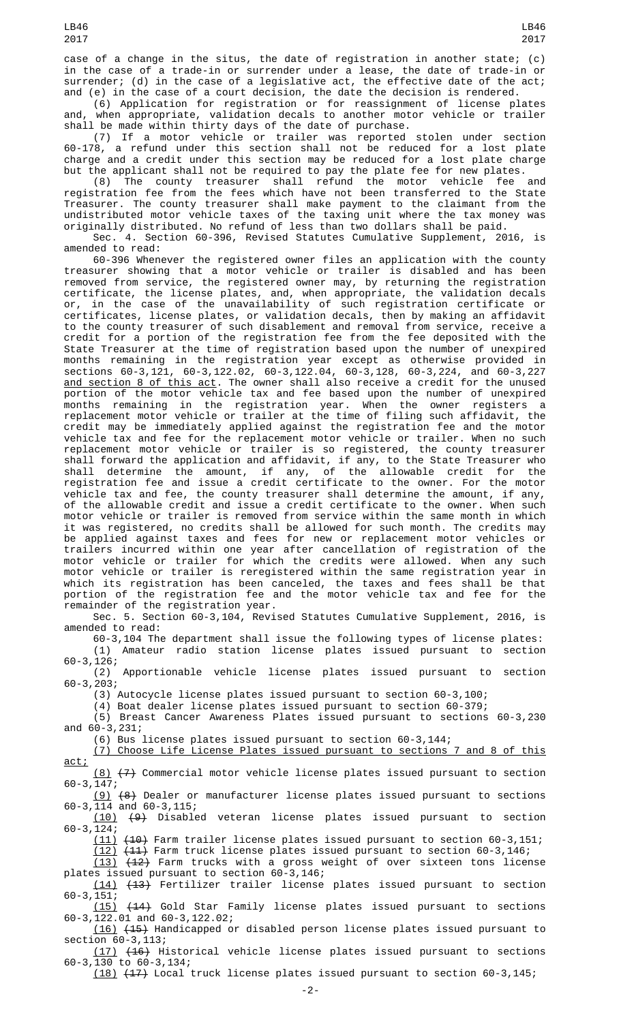(6) Application for registration or for reassignment of license plates and, when appropriate, validation decals to another motor vehicle or trailer shall be made within thirty days of the date of purchase.

(7) If a motor vehicle or trailer was reported stolen under section 60-178, a refund under this section shall not be reduced for a lost plate charge and a credit under this section may be reduced for a lost plate charge but the applicant shall not be required to pay the plate fee for new plates.

(8) The county treasurer shall refund the motor vehicle fee and registration fee from the fees which have not been transferred to the State Treasurer. The county treasurer shall make payment to the claimant from the undistributed motor vehicle taxes of the taxing unit where the tax money was originally distributed. No refund of less than two dollars shall be paid.

Sec. 4. Section 60-396, Revised Statutes Cumulative Supplement, 2016, is amended to read:

60-396 Whenever the registered owner files an application with the county treasurer showing that a motor vehicle or trailer is disabled and has been removed from service, the registered owner may, by returning the registration certificate, the license plates, and, when appropriate, the validation decals or, in the case of the unavailability of such registration certificate or certificates, license plates, or validation decals, then by making an affidavit to the county treasurer of such disablement and removal from service, receive a credit for a portion of the registration fee from the fee deposited with the State Treasurer at the time of registration based upon the number of unexpired months remaining in the registration year except as otherwise provided in sections 60-3,121, 60-3,122.02, 60-3,122.04, 60-3,128, 60-3,224, and 60-3,227 <u>and section 8 of this act</u>. The owner shall also receive a credit for the unused portion of the motor vehicle tax and fee based upon the number of unexpired months remaining in the registration year. When the owner registers a replacement motor vehicle or trailer at the time of filing such affidavit, the credit may be immediately applied against the registration fee and the motor vehicle tax and fee for the replacement motor vehicle or trailer. When no such replacement motor vehicle or trailer is so registered, the county treasurer shall forward the application and affidavit, if any, to the State Treasurer who shall determine the amount, if any, of the allowable credit for the registration fee and issue a credit certificate to the owner. For the motor vehicle tax and fee, the county treasurer shall determine the amount, if any, of the allowable credit and issue a credit certificate to the owner. When such motor vehicle or trailer is removed from service within the same month in which it was registered, no credits shall be allowed for such month. The credits may be applied against taxes and fees for new or replacement motor vehicles or trailers incurred within one year after cancellation of registration of the motor vehicle or trailer for which the credits were allowed. When any such motor vehicle or trailer is reregistered within the same registration year in which its registration has been canceled, the taxes and fees shall be that portion of the registration fee and the motor vehicle tax and fee for the remainder of the registration year.

Sec. 5. Section 60-3,104, Revised Statutes Cumulative Supplement, 2016, is amended to read:

60-3,104 The department shall issue the following types of license plates: (1) Amateur radio station license plates issued pursuant to section 60-3,126;

(2) Apportionable vehicle license plates issued pursuant to section 60-3,203;

(3) Autocycle license plates issued pursuant to section 60-3,100;

(4) Boat dealer license plates issued pursuant to section 60-379;

(5) Breast Cancer Awareness Plates issued pursuant to sections 60-3,230 and 60-3,231;

(6) Bus license plates issued pursuant to section 60-3,144;

(7) Choose Life License Plates issued pursuant to sections 7 and 8 of this act;

 $(8)$   $(7)$  Commercial motor vehicle license plates issued pursuant to section 60-3,147;

(9) (8) Dealer or manufacturer license plates issued pursuant to sections 60-3,114 and 60-3,115;

(10) (9) Disabled veteran license plates issued pursuant to section 60-3,124;

(11) (10) Farm trailer license plates issued pursuant to section 60-3,151;

(12) (11) Farm truck license plates issued pursuant to section 60-3,146; (13) (12) Farm trucks with a gross weight of over sixteen tons license

plates issued pursuant to section 60-3,146; (14) (13) Fertilizer trailer license plates issued pursuant to section 60-3,151;

(15) (14) Gold Star Family license plates issued pursuant to sections 60-3,122.01 and 60-3,122.02;

(16) (15) Handicapped or disabled person license plates issued pursuant to section 60-3,113;

(17) (16) Historical vehicle license plates issued pursuant to sections 60-3,130 to 60-3,134;

(18) (17) Local truck license plates issued pursuant to section 60-3,145;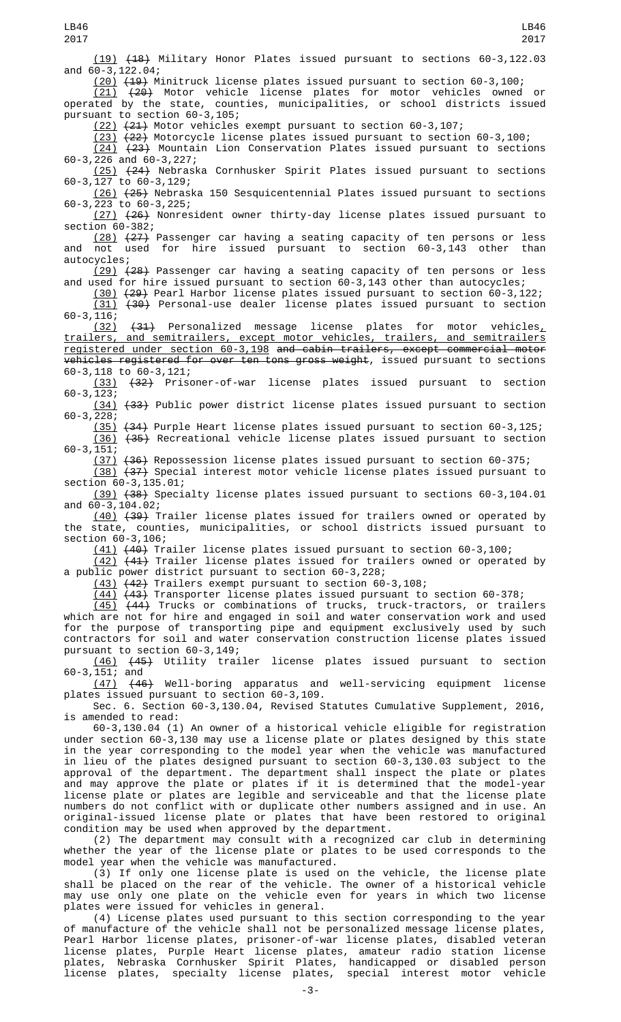(19) (18) Military Honor Plates issued pursuant to sections 60-3,122.03 and 60-3,122.04;

 $(20)$   $(49)$  Minitruck license plates issued pursuant to section 60-3,100;<br>(21)  $(24)$  Motor vehicle license plates for motor vehicles owned

(20) Motor vehicle license plates for motor vehicles owned or counties, municipalities, or school districts issued operated by the state, coun<br>pursuant to section  $60-3,105$ ;

(22) (21) Motor vehicles exempt pursuant to section 60-3,107;

(23) (22) Motorcycle license plates issued pursuant to section 60-3,100; (24) (23) Mountain Lion Conservation Plates issued pursuant to sections 60-3,226 and 60-3,227;

(25) (24) Nebraska Cornhusker Spirit Plates issued pursuant to sections 60-3,127 to 60-3,129;

(26) (25) Nebraska 150 Sesquicentennial Plates issued pursuant to sections 60-3,223 to 60-3,225;

(27) (26) Nonresident owner thirty-day license plates issued pursuant to section 60-382;

(28) (27) Passenger car having a seating capacity of ten persons or less and not used for hire issued pursuant to section 60-3,143 other than autocycles;

(29) <del>(28)</del> Passenger car having a seating capacity of ten persons or less and used for hire issued pursuant to section 60-3,143 other than autocycles;

(30) (29) Pearl Harbor license plates issued pursuant to section 60-3,122; (31) (30) Personal-use dealer license plates issued pursuant to section 60-3,116;

 $(31)$  Personalized message license plates for motor vehicles, trailers, and semitrailers, except motor vehicles, trailers, and semitrailers registered under section 60-3,198 and cabin trailers, except commercial motor vehicles registered for over ten tons gross weight, issued pursuant to sections 60-3,118 to 60-3,121;

(33) (32) Prisoner-of-war license plates issued pursuant to section 60-3,123;

(34) (33) Public power district license plates issued pursuant to section 60-3,228;

(35) (34) Purple Heart license plates issued pursuant to section 60-3,125; (36) (35) Recreational vehicle license plates issued pursuant to section  $60 - 3, 151;$ 

(37) (36) Repossession license plates issued pursuant to section 60-375;

(38) (37) Special interest motor vehicle license plates issued pursuant to section 60-3,135.01;

(39) (38) Specialty license plates issued pursuant to sections 60-3,104.01 and 60-3,104.02;

 $(40)$   $(39)$  Trailer license plates issued for trailers owned or operated by the state, counties, municipalities, or school districts issued pursuant to section 60-3,106;

(41) (40) Trailer license plates issued pursuant to section 60-3,100;

(42) (41) Trailer license plates issued for trailers owned or operated by a public power district pursuant to section 60-3,228;

(43) (42) Trailers exempt pursuant to section 60-3,108;

 $(44)$   $(43)$  Transporter license plates issued pursuant to section 60-378;

(45) (44) Trucks or combinations of trucks, truck-tractors, or trailers which are not for hire and engaged in soil and water conservation work and used for the purpose of transporting pipe and equipment exclusively used by such contractors for soil and water conservation construction license plates issued pursuant to section 60-3,149;

(46) (45) Utility trailer license plates issued pursuant to section 60-3,151; and

(47) (46) Well-boring apparatus and well-servicing equipment license plates issued pursuant to section 60-3,109.

Sec. 6. Section 60-3,130.04, Revised Statutes Cumulative Supplement, 2016, is amended to read:

60-3,130.04 (1) An owner of a historical vehicle eligible for registration under section 60-3,130 may use a license plate or plates designed by this state in the year corresponding to the model year when the vehicle was manufactured in lieu of the plates designed pursuant to section 60-3,130.03 subject to the approval of the department. The department shall inspect the plate or plates and may approve the plate or plates if it is determined that the model-year license plate or plates are legible and serviceable and that the license plate numbers do not conflict with or duplicate other numbers assigned and in use. An original-issued license plate or plates that have been restored to original condition may be used when approved by the department.

(2) The department may consult with a recognized car club in determining whether the year of the license plate or plates to be used corresponds to the model year when the vehicle was manufactured.

(3) If only one license plate is used on the vehicle, the license plate shall be placed on the rear of the vehicle. The owner of a historical vehicle may use only one plate on the vehicle even for years in which two license plates were issued for vehicles in general.

(4) License plates used pursuant to this section corresponding to the year of manufacture of the vehicle shall not be personalized message license plates, Pearl Harbor license plates, prisoner-of-war license plates, disabled veteran license plates, Purple Heart license plates, amateur radio station license plates, Nebraska Cornhusker Spirit Plates, handicapped or disabled person license plates, specialty license plates, special interest motor vehicle